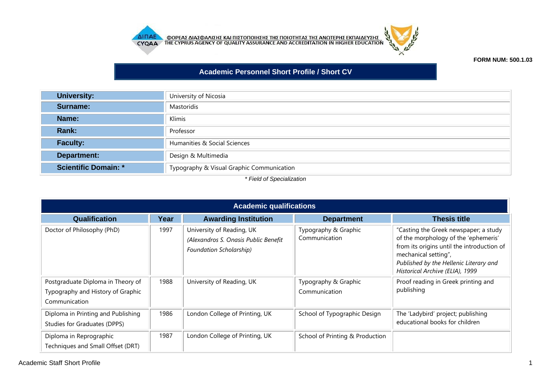



## **FORM NUM: 500.1.03**

## **Academic Personnel Short Profile / Short CV**

| <b>University:</b>          | University of Nicosia                     |
|-----------------------------|-------------------------------------------|
| <b>Surname:</b>             | Mastoridis                                |
| Name:                       | Klimis                                    |
| Rank:                       | Professor                                 |
| <b>Faculty:</b>             | Humanities & Social Sciences              |
| Department:                 | Design & Multimedia                       |
| <b>Scientific Domain: *</b> | Typography & Visual Graphic Communication |

*\* Field of Specialization*

| <b>Academic qualifications</b>                                                          |      |                                                                                                     |                                       |                                                                                                                                                                                                                                  |
|-----------------------------------------------------------------------------------------|------|-----------------------------------------------------------------------------------------------------|---------------------------------------|----------------------------------------------------------------------------------------------------------------------------------------------------------------------------------------------------------------------------------|
| <b>Qualification</b>                                                                    | Year | <b>Awarding Institution</b>                                                                         | <b>Department</b>                     | <b>Thesis title</b>                                                                                                                                                                                                              |
| Doctor of Philosophy (PhD)                                                              | 1997 | University of Reading, UK<br>(Alexandros S. Onasis Public Benefit<br><b>Foundation Scholarship)</b> | Typography & Graphic<br>Communication | "Casting the Greek newspaper; a study<br>of the morphology of the 'ephemeris'<br>from its origins until the introduction of<br>mechanical setting",<br>Published by the Hellenic Literary and<br>Historical Archive (ELIA), 1999 |
| Postgraduate Diploma in Theory of<br>Typography and History of Graphic<br>Communication | 1988 | University of Reading, UK                                                                           | Typography & Graphic<br>Communication | Proof reading in Greek printing and<br>publishing                                                                                                                                                                                |
| Diploma in Printing and Publishing<br>Studies for Graduates (DPPS)                      | 1986 | London College of Printing, UK                                                                      | School of Typographic Design          | The 'Ladybird' project; publishing<br>educational books for children                                                                                                                                                             |
| Diploma in Reprographic<br>Techniques and Small Offset (DRT)                            | 1987 | London College of Printing, UK                                                                      | School of Printing & Production       |                                                                                                                                                                                                                                  |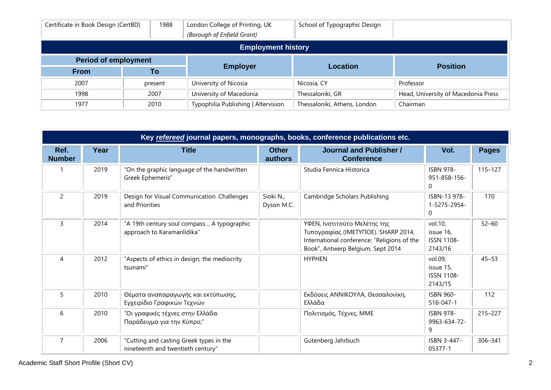| Certificate in Book Design (CertBD) | 1988    | London College of Printing, UK<br>(Borough of Enfield Grant) | School of Typographic Design |                                     |  |
|-------------------------------------|---------|--------------------------------------------------------------|------------------------------|-------------------------------------|--|
| <b>Employment history</b>           |         |                                                              |                              |                                     |  |
| <b>Period of employment</b>         |         |                                                              |                              |                                     |  |
| <b>From</b>                         | To      | <b>Employer</b>                                              | <b>Location</b>              | <b>Position</b>                     |  |
| 2007                                | present | University of Nicosia                                        | Nicosia, CY                  | Professor                           |  |
| 1998                                | 2007    | University of Macedonia                                      | Thessaloniki, GR             | Head, University of Macedonia Press |  |
| 1977                                | 2010    | Typophilia Publishing   Altervision                          | Thessaloniki, Athens, London | Chairman                            |  |

| Key refereed journal papers, monographs, books, conference publications etc. |      |                                                                              |                         |                                                                                                                                                         |                                                      |              |
|------------------------------------------------------------------------------|------|------------------------------------------------------------------------------|-------------------------|---------------------------------------------------------------------------------------------------------------------------------------------------------|------------------------------------------------------|--------------|
| Ref.<br><b>Number</b>                                                        | Year | <b>Title</b>                                                                 | <b>Other</b><br>authors | <b>Journal and Publisher /</b><br><b>Conference</b>                                                                                                     | Vol.                                                 | <b>Pages</b> |
|                                                                              | 2019 | "On the graphic language of the handwritten<br>Greek Ephemeris"              |                         | Studia Fennica Historica                                                                                                                                | <b>ISBN 978-</b><br>951-858-156-<br>$\Omega$         | $115 - 127$  |
| $\overline{2}$                                                               | 2019 | Design for Visual Communication. Challenges<br>and Priorities                | Sioki N.,<br>Dyson M.C. | Cambridge Scholars Publishing                                                                                                                           | ISBN-13 978-<br>1-5275-2954-<br>0                    | 170          |
| 3                                                                            | 2014 | "A 19th century soul compass A typographic<br>approach to Karamanlidika"     |                         | ΥΦΕΝ, Ινστιτούτο Μελέτης της<br>Τυπογραφίας (IMETYΠΟΕ). SHARP 2014,<br>International conference: "Religions of the<br>Book", Antwerp Belgium, Sept 2014 | vol.10,<br>issue 16,<br><b>ISSN 1108-</b><br>2143/16 | $52 - 60$    |
| $\overline{A}$                                                               | 2012 | "Aspects of ethics in design; the mediocrity<br>tsunami"                     |                         | <b>HYPHEN</b>                                                                                                                                           | vol.09,<br>issue 15,<br><b>ISSN 1108-</b><br>2143/15 | $45 - 53$    |
| 5                                                                            | 2010 | Θέματα αναπαραγωγής και εκτύπωσης,<br>Εγχειρίδιο Γραφικών Τεχνών             |                         | Εκδόσεις ΑΝΝΙΚΟΥΛΑ, Θεσσαλονίκη,<br>Ελλάδα                                                                                                              | <b>ISBN 960-</b><br>516-047-1                        | 112          |
| 6                                                                            | 2010 | "Οι γραφικές τέχνες στην Ελλάδα.<br>Παράδειγμα για την Κύπρο;"               |                         | Πολιτισμός, Τέχνες, ΜΜΕ                                                                                                                                 | <b>ISBN 978-</b><br>9963-634-72-<br>9                | $215 - 227$  |
| $\overline{7}$                                                               | 2006 | "Cutting and casting Greek types in the<br>nineteenth and twentieth century" |                         | Gutenberg Jahrbuch                                                                                                                                      | ISBN 3-447-<br>05377-1                               | 306-341      |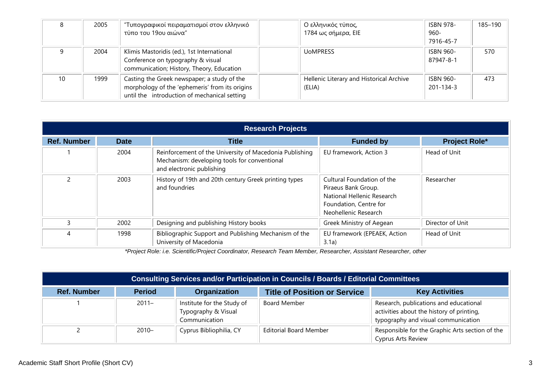|    | 2005 | "Τυπογραφικοί πειραματισμοί στον ελληνικό<br>τύπο του 19ου αιώνα"                                                                             | Ο ελληνικός τύπος,<br>1784 ως σήμερα, EIE          | <b>ISBN 978-</b><br>$960 -$<br>7916-45-7 | 185-190 |
|----|------|-----------------------------------------------------------------------------------------------------------------------------------------------|----------------------------------------------------|------------------------------------------|---------|
|    | 2004 | Klimis Mastoridis (ed.), 1st International<br>Conference on typography & visual<br>communication; History, Theory, Education                  | UoMPRESS                                           | <b>ISBN 960-</b><br>87947-8-1            | 570     |
| 10 | 1999 | Casting the Greek newspaper; a study of the<br>morphology of the 'ephemeris' from its origins<br>until the introduction of mechanical setting | Hellenic Literary and Historical Archive<br>(ELIA) | <b>ISBN 960-</b><br>201-134-3            | 473     |

| <b>Research Projects</b> |             |                                                                                                                                      |                                                                                                                                   |                      |  |  |
|--------------------------|-------------|--------------------------------------------------------------------------------------------------------------------------------------|-----------------------------------------------------------------------------------------------------------------------------------|----------------------|--|--|
| <b>Ref. Number</b>       | <b>Date</b> | <b>Title</b>                                                                                                                         | <b>Funded by</b>                                                                                                                  | <b>Project Role*</b> |  |  |
|                          | 2004        | Reinforcement of the University of Macedonia Publishing<br>Mechanism: developing tools for conventional<br>and electronic publishing | EU framework, Action 3                                                                                                            | Head of Unit         |  |  |
|                          | 2003        | History of 19th and 20th century Greek printing types<br>and foundries                                                               | Cultural Foundation of the<br>Piraeus Bank Group.<br>National Hellenic Research<br>Foundation, Centre for<br>Neohellenic Research | Researcher           |  |  |
| ξ                        | 2002        | Designing and publishing History books                                                                                               | Greek Ministry of Aegean                                                                                                          | Director of Unit     |  |  |
| 4                        | 1998        | Bibliographic Support and Publishing Mechanism of the<br>University of Macedonia                                                     | EU framework (EPEAEK, Action<br>3.1a)                                                                                             | Head of Unit         |  |  |

*\*Project Role: i.e. Scientific/Project Coordinator, Research Team Member, Researcher, Assistant Researcher, other*

| <b>Consulting Services and/or Participation in Councils / Boards / Editorial Committees</b> |               |                                                                    |                                     |                                                                                                                            |
|---------------------------------------------------------------------------------------------|---------------|--------------------------------------------------------------------|-------------------------------------|----------------------------------------------------------------------------------------------------------------------------|
| <b>Ref. Number</b>                                                                          | <b>Period</b> | <b>Organization</b>                                                | <b>Title of Position or Service</b> | <b>Key Activities</b>                                                                                                      |
|                                                                                             | $2011 -$      | Institute for the Study of<br>Typography & Visual<br>Communication | <b>Board Member</b>                 | Research, publications and educational<br>activities about the history of printing,<br>typography and visual communication |
|                                                                                             | $2010 -$      | Cyprus Bibliophilia, CY                                            | <b>Editorial Board Member</b>       | Responsible for the Graphic Arts section of the<br><b>Cyprus Arts Review</b>                                               |